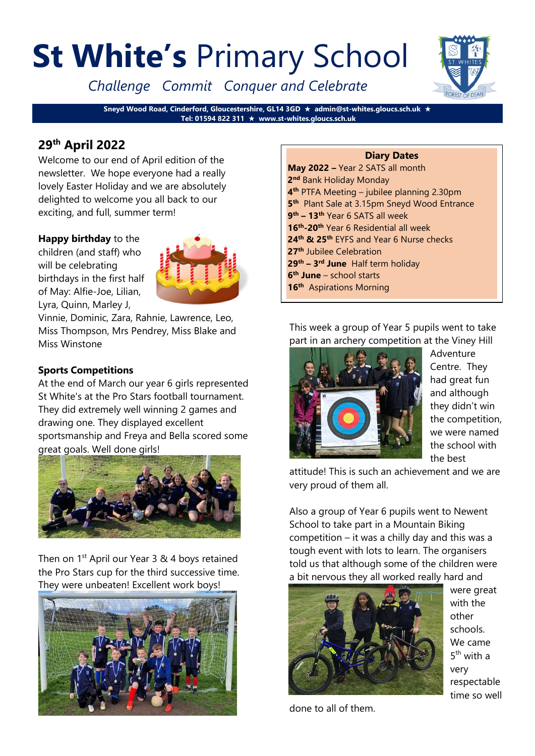# **St White's** Primary School

*Challenge Commit Conquer and Celebrate*



**Sneyd Wood Road, Cinderford, Gloucestershire, GL14 3GD admin@st-whites.gloucs.sch.uk Tel: 01594 822 311 www.st-whites.gloucs.sch.uk**

# **29th April 2022**

Welcome to our end of April edition of the newsletter. We hope everyone had a really lovely Easter Holiday and we are absolutely delighted to welcome you all back to our exciting, and full, summer term!

# **Happy birthday** to the

children (and staff) who will be celebrating birthdays in the first half of May: Alfie-Joe, Lilian, Lyra, Quinn, Marley J,



Vinnie, Dominic, Zara, Rahnie, Lawrence, Leo, Miss Thompson, Mrs Pendrey, Miss Blake and Miss Winstone

# **Sports Competitions**

At the end of March our year 6 girls represented St White's at the Pro Stars football tournament. They did extremely well winning 2 games and drawing one. They displayed excellent sportsmanship and Freya and Bella scored some great goals. Well done girls!



Then on 1<sup>st</sup> April our Year 3 & 4 boys retained the Pro Stars cup for the third successive time. They were unbeaten! Excellent work boys!



#### **Diary Dates May 2022 –** Year 2 SATS all month **2 nd** Bank Holiday Monday **4 th** PTFA Meeting – jubilee planning 2.30pm **5 th** Plant Sale at 3.15pm Sneyd Wood Entrance **9 th – 13th** Year 6 SATS all week **16th -20th** Year 6 Residential all week **24th & 25th** EYFS and Year 6 Nurse checks **27th** Jubilee Celebration **29th – 3 rd June** Half term holiday **6 th June** – school starts **16th** Aspirations Morning

This week a group of Year 5 pupils went to take part in an archery competition at the Viney Hill



Adventure Centre. They had great fun and although they didn't win the competition, we were named the school with the best

attitude! This is such an achievement and we are very proud of them all.

Also a group of Year 6 pupils went to Newent School to take part in a Mountain Biking competition – it was a chilly day and this was a tough event with lots to learn. The organisers told us that although some of the children were a bit nervous they all worked really hard and



were great with the other schools. We came 5<sup>th</sup> with a very respectable time so well

done to all of them.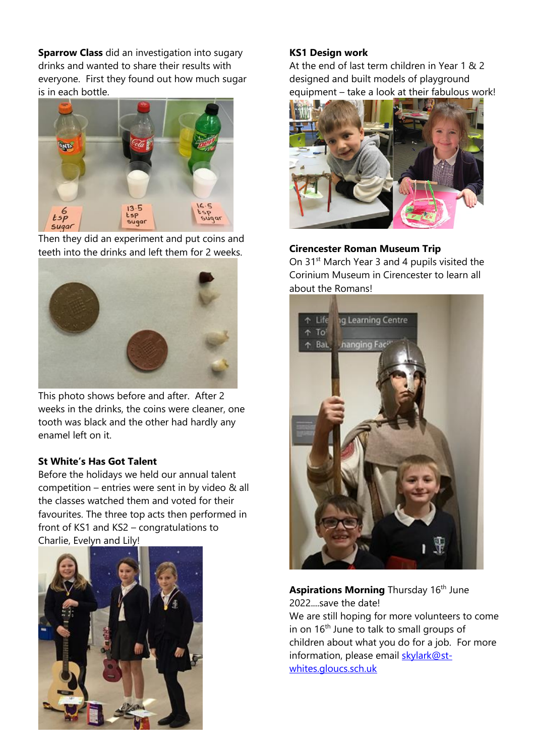**Sparrow Class** did an investigation into sugary drinks and wanted to share their results with everyone. First they found out how much sugar is in each bottle.



Then they did an experiment and put coins and teeth into the drinks and left them for 2 weeks.



This photo shows before and after. After 2 weeks in the drinks, the coins were cleaner, one tooth was black and the other had hardly any enamel left on it.

### **St White's Has Got Talent**

Before the holidays we held our annual talent competition – entries were sent in by video & all the classes watched them and voted for their favourites. The three top acts then performed in front of KS1 and KS2 – congratulations to Charlie, Evelyn and Lily!



# **KS1 Design work**

At the end of last term children in Year 1 & 2 designed and built models of playground equipment – take a look at their fabulous work!



# **Cirencester Roman Museum Trip**

On 31<sup>st</sup> March Year 3 and 4 pupils visited the Corinium Museum in Cirencester to learn all about the Romans!



# **Aspirations Morning** Thursday 16<sup>th</sup> June 2022....save the date!

We are still hoping for more volunteers to come in on 16<sup>th</sup> June to talk to small groups of children about what you do for a job. For more information, please email [skylark@st](mailto:skylark@st-whites.gloucs.sch.uk)[whites.gloucs.sch.uk](mailto:skylark@st-whites.gloucs.sch.uk)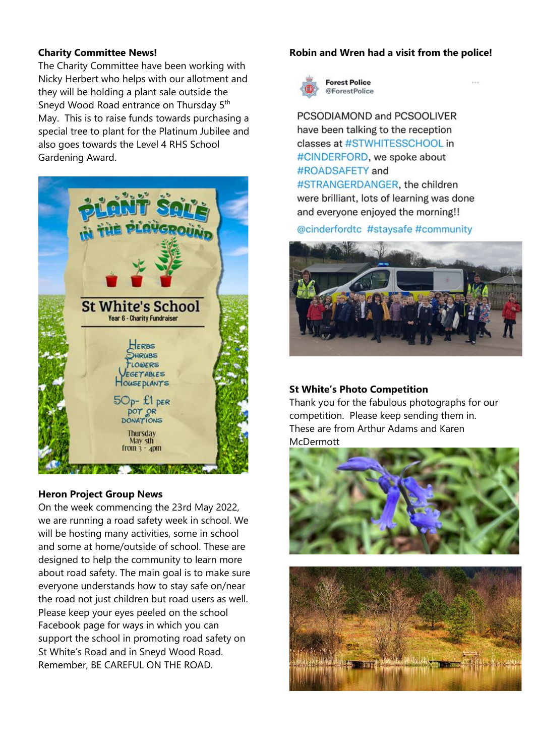### **Charity Committee News!**

The Charity Committee have been working with Nicky Herbert who helps with our allotment and they will be holding a plant sale outside the Sneyd Wood Road entrance on Thursday 5<sup>th</sup> May. This is to raise funds towards purchasing a special tree to plant for the Platinum Jubilee and also goes towards the Level 4 RHS School Gardening Award.



### **Heron Project Group News**

On the week commencing the 23rd May 2022, we are running a road safety week in school. We will be hosting many activities, some in school and some at home/outside of school. These are designed to help the community to learn more about road safety. The main goal is to make sure everyone understands how to stay safe on/near the road not just children but road users as well. Please keep your eyes peeled on the school Facebook page for ways in which you can support the school in promoting road safety on St White's Road and in Sneyd Wood Road. Remember, BE CAREFUL ON THE ROAD.

### **Robin and Wren had a visit from the police!**



**Forest Police** @ForestPolice

PCSODIAMOND and PCSOOLIVER have been talking to the reception classes at #STWHITESSCHOOL in #CINDERFORD, we spoke about #ROADSAFETY and #STRANGERDANGER, the children were brilliant, lots of learning was done and everyone enjoyed the morning!!

# @cinderfordtc #staysafe #community



### **St White's Photo Competition**

Thank you for the fabulous photographs for our competition. Please keep sending them in. These are from Arthur Adams and Karen McDermott